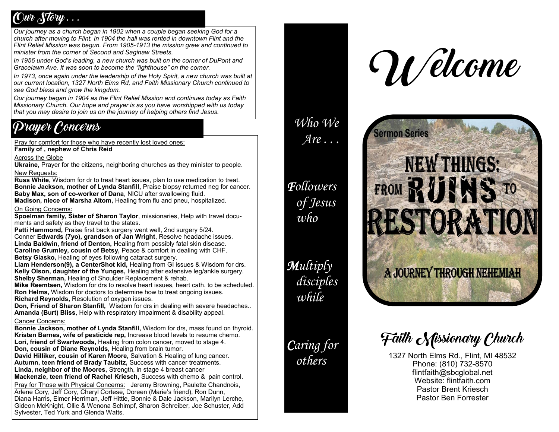## $C$ *wr*  $\delta$ *ftow*  $\ldots$

*Our journey as a church began in 1902 when a couple began seeking God for a church after moving to Flint. In 1904 the hall was rented in downtown Flint and the Flint Relief Mission was begun. From 1905-1913 the mission grew and continued to minister from the corner of Second and Saginaw Streets.* 

*In 1956 under God's leading, a new church was built on the corner of DuPont and Gracelawn Ave. It was soon to become the "lighthouse" on the corner.* 

In 1973, once again under the leadership of the Holy Spirit, a new church was built at *our current location, 1327 North Elms Rd, and Faith Missionary Church continued to see God bless and grow the kingdom.* 

*Our journey began in 1904 as the Flint Relief Mission and continues today as Faith Missionary Church. Our hope and prayer is as you have worshipped with us today that you may desire to join us on the journey of helping others find Jesus.* 

## Prayer Concerns

Pray for comfort for those who have recently lost loved ones:

**Family of , nephew of Chris Reid**

Across the Globe

**Ukraine,** Prayer for the citizens, neighboring churches as they minister to people. New Requests:

**Russ White,** Wisdom for dr to treat heart issues, plan to use medication to treat. **Bonnie Jackson, mother of Lynda Stanfill,** Praise biopsy returned neg for cancer. **Baby Max, son of co-worker of Dana**, NICU after swallowing fluid.

**Madison, niece of Marsha Altom,** Healing from flu and pneu, hospitalized.

#### On Going Concerns:

**Spoelman family, Sister of Sharon Taylor**, missionaries, Help with travel documents and safety as they travel to the states.

**Patti Hammond,** Praise first back surgery went well, 2nd surgery 5/24. Conner **Edwards (7yo), grandson of Jan Wright**, Resolve headache issues. **Linda Baldwin, friend of Denton,** Healing from possibly fatal skin disease. **Caroline Grumley, cousin of Betsy,** Peace & comfort in dealing with CHF. **Betsy Glasko,** Healing of eyes following cataract surgery.

**Liam Henderson(9), a CenterShot kid,** Healing from GI issues & Wisdom for drs. **Kelly Olson, daughter of the Yunges,** Healing after extensive leg/ankle surgery. **Shelby Sherman,** Healing of Shoulder Replacement & rehab.

**Mike Reemtsen,** Wisdom for drs to resolve heart issues, heart cath. to be scheduled. **Ron Helms,** Wisdom for doctors to determine how to treat ongoing issues. **Richard Reynolds.** Resolution of oxygen issues.

**Don, Friend of Sharon Stanfill,** Wisdom for drs in dealing with severe headaches.. **Amanda (Burt) Bliss**, Help with respiratory impairment & disability appeal.

### Cancer Concerns:

**Bonnie Jackson, mother of Lynda Stanfill,** Wisdom for drs, mass found on thyroid. **Kristen Barnes, wife of pesticide rep,** Increase blood levels to resume chemo. **Lori, friend of Swartwoods,** Healing from colon cancer, moved to stage 4. **Don, cousin of Diane Reynolds,** Healing from brain tumor.

**David Hilliker, cousin of Karen Moore,** Salvation & Healing of lung cancer. **Autumn, teen friend of Brady Taubitz,** Success with cancer treatments. **Linda, neighbor of the Moores,** Strength, in stage 4 breast cancer **Mackenzie, teen friend of Rachel Kriesch,** Success with chemo & pain control.

Pray for Those with Physical Concerns:Jeremy Browning, Paulette Chandnois, Arlene Cory, Jeff Cory, Cheryl Cortese, Doreen (Marie's friend), Ron Dunn, Diana Harris, Elmer Herriman, Jeff Hittle, Bonnie & Dale Jackson, Marilyn Lerche, Gideon McKnight, Ollie & Wenona Schimpf, Sharon Schreiber, Joe Schuster, Add Sylvester, Ted Yurk and Glenda Watts.



## *Who We Are . . .*

*Followers of Jesus who*

*Multiply disciples while*

## *Caring for others*

# **Sermon Series NEW THINGS:** FROM RUINS TO ESTORATION

A JOURNEY THROUGH NEHEMIAH

Faith *Missionary Chwrch* 

1327 North Elms Rd., Flint, MI 48532 Phone: (810) 732-8570 flintfaith@sbcglobal.net Website: flintfaith.com Pastor Brent Kriesch Pastor Ben Forrester